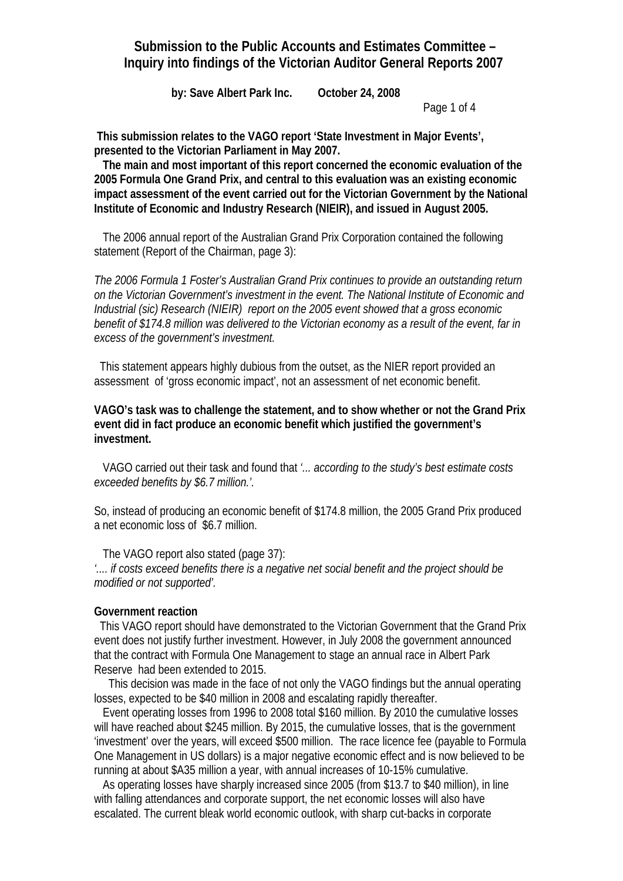# **Submission to the Public Accounts and Estimates Committee – Inquiry into findings of the Victorian Auditor General Reports 2007**

 **by: Save Albert Park Inc. October 24, 2008** 

Page 1 of 4

 **This submission relates to the VAGO report 'State Investment in Major Events', presented to the Victorian Parliament in May 2007.** 

 **The main and most important of this report concerned the economic evaluation of the 2005 Formula One Grand Prix, and central to this evaluation was an existing economic impact assessment of the event carried out for the Victorian Government by the National Institute of Economic and Industry Research (NIEIR), and issued in August 2005.** 

 The 2006 annual report of the Australian Grand Prix Corporation contained the following statement (Report of the Chairman, page 3):

*The 2006 Formula 1 Foster's Australian Grand Prix continues to provide an outstanding return on the Victorian Government's investment in the event. The National Institute of Economic and Industrial (sic) Research (NIEIR) report on the 2005 event showed that a gross economic benefit of \$174.8 million was delivered to the Victorian economy as a result of the event, far in excess of the government's investment.* 

 This statement appears highly dubious from the outset, as the NIER report provided an assessment of 'gross economic impact', not an assessment of net economic benefit.

**VAGO's task was to challenge the statement, and to show whether or not the Grand Prix event did in fact produce an economic benefit which justified the government's investment.** 

 VAGO carried out their task and found that *'... according to the study's best estimate costs exceeded benefits by \$6.7 million.'.* 

So, instead of producing an economic benefit of \$174.8 million, the 2005 Grand Prix produced a net economic loss of \$6.7 million.

 The VAGO report also stated (page 37): *'.... if costs exceed benefits there is a negative net social benefit and the project should be modified or not supported'.* 

#### **Government reaction**

 This VAGO report should have demonstrated to the Victorian Government that the Grand Prix event does not justify further investment. However, in July 2008 the government announced that the contract with Formula One Management to stage an annual race in Albert Park Reserve had been extended to 2015.

 This decision was made in the face of not only the VAGO findings but the annual operating losses, expected to be \$40 million in 2008 and escalating rapidly thereafter.

 Event operating losses from 1996 to 2008 total \$160 million. By 2010 the cumulative losses will have reached about \$245 million. By 2015, the cumulative losses, that is the government 'investment' over the years, will exceed \$500 million. The race licence fee (payable to Formula One Management in US dollars) is a major negative economic effect and is now believed to be running at about \$A35 million a year, with annual increases of 10-15% cumulative.

 As operating losses have sharply increased since 2005 (from \$13.7 to \$40 million), in line with falling attendances and corporate support, the net economic losses will also have escalated. The current bleak world economic outlook, with sharp cut-backs in corporate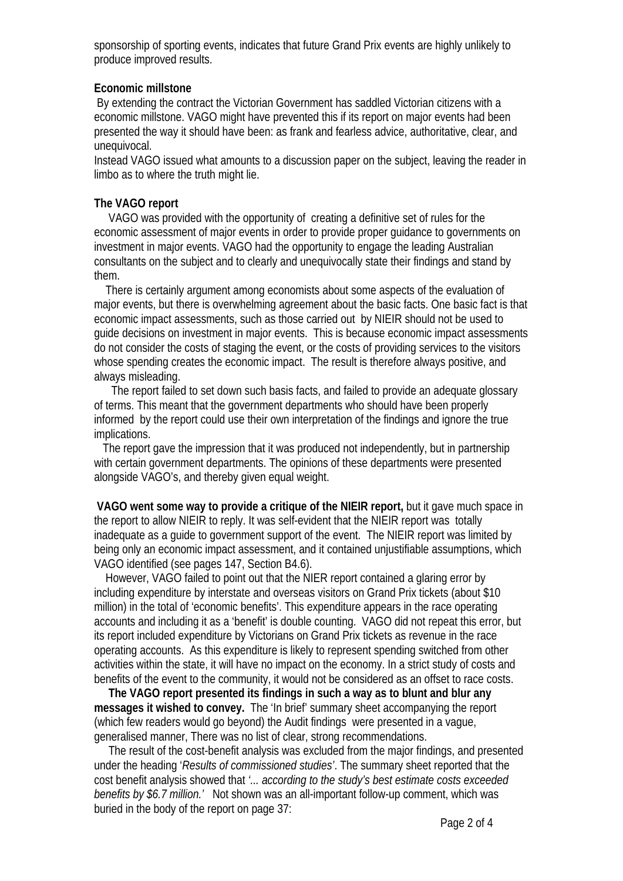sponsorship of sporting events, indicates that future Grand Prix events are highly unlikely to produce improved results.

#### **Economic millstone**

 By extending the contract the Victorian Government has saddled Victorian citizens with a economic millstone. VAGO might have prevented this if its report on major events had been presented the way it should have been: as frank and fearless advice, authoritative, clear, and unequivocal.

Instead VAGO issued what amounts to a discussion paper on the subject, leaving the reader in limbo as to where the truth might lie.

## **The VAGO report**

 VAGO was provided with the opportunity of creating a definitive set of rules for the economic assessment of major events in order to provide proper guidance to governments on investment in major events. VAGO had the opportunity to engage the leading Australian consultants on the subject and to clearly and unequivocally state their findings and stand by them.

 There is certainly argument among economists about some aspects of the evaluation of major events, but there is overwhelming agreement about the basic facts. One basic fact is that economic impact assessments, such as those carried out by NIEIR should not be used to guide decisions on investment in major events. This is because economic impact assessments do not consider the costs of staging the event, or the costs of providing services to the visitors whose spending creates the economic impact. The result is therefore always positive, and always misleading.

 The report failed to set down such basis facts, and failed to provide an adequate glossary of terms. This meant that the government departments who should have been properly informed by the report could use their own interpretation of the findings and ignore the true implications.

 The report gave the impression that it was produced not independently, but in partnership with certain government departments. The opinions of these departments were presented alongside VAGO's, and thereby given equal weight.

**VAGO went some way to provide a critique of the NIEIR report,** but it gave much space in the report to allow NIEIR to reply. It was self-evident that the NIEIR report was totally inadequate as a guide to government support of the event. The NIEIR report was limited by being only an economic impact assessment, and it contained unjustifiable assumptions, which VAGO identified (see pages 147, Section B4.6).

 However, VAGO failed to point out that the NIER report contained a glaring error by including expenditure by interstate and overseas visitors on Grand Prix tickets (about \$10 million) in the total of 'economic benefits'. This expenditure appears in the race operating accounts and including it as a 'benefit' is double counting. VAGO did not repeat this error, but its report included expenditure by Victorians on Grand Prix tickets as revenue in the race operating accounts. As this expenditure is likely to represent spending switched from other activities within the state, it will have no impact on the economy. In a strict study of costs and benefits of the event to the community, it would not be considered as an offset to race costs.

 **The VAGO report presented its findings in such a way as to blunt and blur any messages it wished to convey.** The 'In brief' summary sheet accompanying the report (which few readers would go beyond) the Audit findings were presented in a vague, generalised manner, There was no list of clear, strong recommendations.

 The result of the cost-benefit analysis was excluded from the major findings, and presented under the heading '*Results of commissioned studies'*. The summary sheet reported that the cost benefit analysis showed that *'... according to the study's best estimate costs exceeded benefits by \$6.7 million.'* Not shown was an all-important follow-up comment, which was buried in the body of the report on page 37: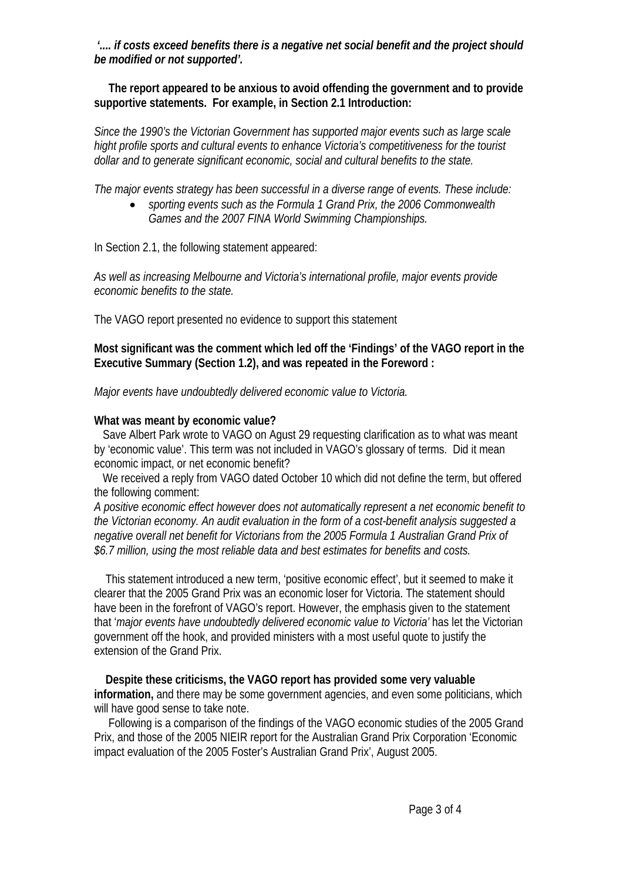*'.... if costs exceed benefits there is a negative net social benefit and the project should be modified or not supported'.* 

 **The report appeared to be anxious to avoid offending the government and to provide supportive statements. For example, in Section 2.1 Introduction:** 

*Since the 1990's the Victorian Government has supported major events such as large scale hight profile sports and cultural events to enhance Victoria's competitiveness for the tourist dollar and to generate significant economic, social and cultural benefits to the state.* 

*The major events strategy has been successful in a diverse range of events. These include:* 

• *sporting events such as the Formula 1 Grand Prix, the 2006 Commonwealth Games and the 2007 FINA World Swimming Championships.* 

In Section 2.1, the following statement appeared:

*As well as increasing Melbourne and Victoria's international profile, major events provide economic benefits to the state.* 

The VAGO report presented no evidence to support this statement

**Most significant was the comment which led off the 'Findings' of the VAGO report in the Executive Summary (Section 1.2), and was repeated in the Foreword :** 

*Major events have undoubtedly delivered economic value to Victoria.* 

## **What was meant by economic value?**

 Save Albert Park wrote to VAGO on Agust 29 requesting clarification as to what was meant by 'economic value'. This term was not included in VAGO's glossary of terms. Did it mean economic impact, or net economic benefit?

 We received a reply from VAGO dated October 10 which did not define the term, but offered the following comment:

*A positive economic effect however does not automatically represent a net economic benefit to the Victorian economy. An audit evaluation in the form of a cost-benefit analysis suggested a negative overall net benefit for Victorians from the 2005 Formula 1 Australian Grand Prix of \$6.7 million, using the most reliable data and best estimates for benefits and costs.* 

 This statement introduced a new term, 'positive economic effect', but it seemed to make it clearer that the 2005 Grand Prix was an economic loser for Victoria. The statement should have been in the forefront of VAGO's report. However, the emphasis given to the statement that '*major events have undoubtedly delivered economic value to Victoria'* has let the Victorian government off the hook, and provided ministers with a most useful quote to justify the extension of the Grand Prix.

 **Despite these criticisms, the VAGO report has provided some very valuable information,** and there may be some government agencies, and even some politicians, which will have good sense to take note.

 Following is a comparison of the findings of the VAGO economic studies of the 2005 Grand Prix, and those of the 2005 NIEIR report for the Australian Grand Prix Corporation 'Economic impact evaluation of the 2005 Foster's Australian Grand Prix', August 2005.